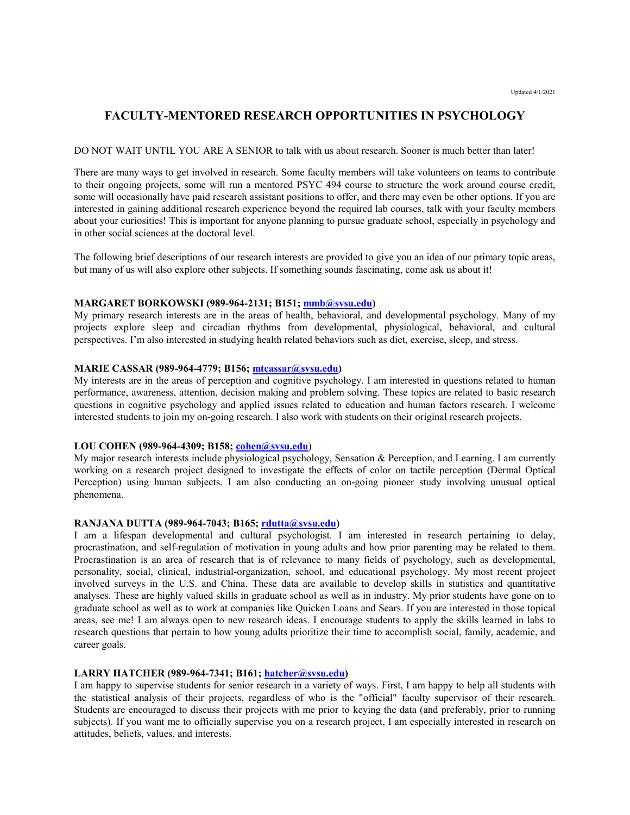# **FACULTY-MENTORED RESEARCH OPPORTUNITIES IN PSYCHOLOGY**

#### DO NOT WAIT UNTIL YOU ARE A SENIOR to talk with us about research. Sooner is much better than later!

There are many ways to get involved in research. Some faculty members will take volunteers on teams to contribute to their ongoing projects, some will run a mentored PSYC 494 course to structure the work around course credit, some will occasionally have paid research assistant positions to offer, and there may even be other options. If you are interested in gaining additional research experience beyond the required lab courses, talk with your faculty members about your curiosities! This is important for anyone planning to pursue graduate school, especially in psychology and in other social sciences at the doctoral level.

The following brief descriptions of our research interests are provided to give you an idea of our primary topic areas, but many of us will also explore other subjects. If something sounds fascinating, come ask us about it!

#### **MARGARET BORKOWSKI (989-964-2131; B151; [mmb@svsu.edu\)](mailto:mmb@svsu.edu)**

My primary research interests are in the areas of health, behavioral, and developmental psychology. Many of my projects explore sleep and circadian rhythms from developmental, physiological, behavioral, and cultural perspectives. I'm also interested in studying health related behaviors such as diet, exercise, sleep, and stress.

# **MARIE CASSAR (989-964-4779; B156; [mtcassar@svsu.edu\)](mailto:mtcassar@svsu.edu)**

My interests are in the areas of perception and cognitive psychology. I am interested in questions related to human performance, awareness, attention, decision making and problem solving. These topics are related to basic research questions in cognitive psychology and applied issues related to education and human factors research. I welcome interested students to join my on-going research. I also work with students on their original research projects.

#### **LOU COHEN (989-964-4309; B158; [cohen@svsu.edu](mailto:cohen@svsu.edu)**)

My major research interests include physiological psychology, Sensation & Perception, and Learning. I am currently working on a research project designed to investigate the effects of color on tactile perception (Dermal Optical Perception) using human subjects. I am also conducting an on-going pioneer study involving unusual optical phenomena.

# **RANJANA DUTTA (989-964-7043; B165; [rdutta@svsu.edu\)](mailto:rdutta@svsu.edu)**

I am a lifespan developmental and cultural psychologist. I am interested in research pertaining to delay, procrastination, and self-regulation of motivation in young adults and how prior parenting may be related to them. Procrastination is an area of research that is of relevance to many fields of psychology, such as developmental, personality, social, clinical, industrial-organization, school, and educational psychology. My most recent project involved surveys in the U.S. and China. These data are available to develop skills in statistics and quantitative analyses. These are highly valued skills in graduate school as well as in industry. My prior students have gone on to graduate school as well as to work at companies like Quicken Loans and Sears. If you are interested in those topical areas, see me! I am always open to new research ideas. I encourage students to apply the skills learned in labs to research questions that pertain to how young adults prioritize their time to accomplish social, family, academic, and career goals.

## **LARRY HATCHER (989-964-7341; B161; [hatcher@svsu.edu\)](mailto:hatcher@svsu.edu)**

I am happy to supervise students for senior research in a variety of ways. First, I am happy to help all students with the statistical analysis of their projects, regardless of who is the "official" faculty supervisor of their research. Students are encouraged to discuss their projects with me prior to keying the data (and preferably, prior to running subjects). If you want me to officially supervise you on a research project, I am especially interested in research on attitudes, beliefs, values, and interests.